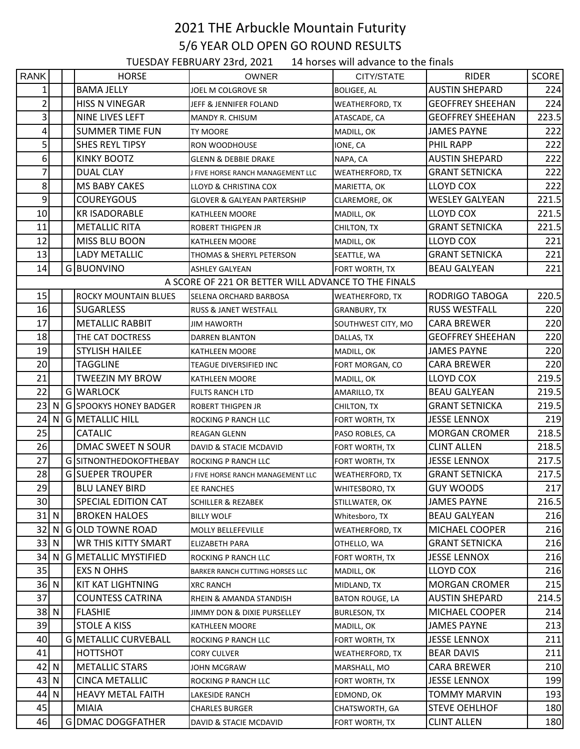## 2021 THE Arbuckle Mountain Futurity 5/6 YEAR OLD OPEN GO ROUND RESULTS

TUESDAY FEBRUARY 23rd, 2021 14 horses will advance to the finals

| <b>RANK</b>             |                                                     |  | <b>HORSE</b>                  | OWNER                             | CITY/STATE             | <b>RIDER</b>            | <b>SCORE</b> |  |  |  |  |  |
|-------------------------|-----------------------------------------------------|--|-------------------------------|-----------------------------------|------------------------|-------------------------|--------------|--|--|--|--|--|
| 1                       |                                                     |  | <b>BAMA JELLY</b>             | JOEL M COLGROVE SR                | <b>BOLIGEE, AL</b>     | <b>AUSTIN SHEPARD</b>   | 224          |  |  |  |  |  |
| 2                       |                                                     |  | <b>HISS N VINEGAR</b>         | JEFF & JENNIFER FOLAND            | <b>WEATHERFORD, TX</b> | <b>GEOFFREY SHEEHAN</b> | 224          |  |  |  |  |  |
| $\overline{\mathbf{3}}$ |                                                     |  | NINE LIVES LEFT               | <b>MANDY R. CHISUM</b>            | ATASCADE, CA           | <b>GEOFFREY SHEEHAN</b> | 223.5        |  |  |  |  |  |
| 4                       |                                                     |  | <b>SUMMER TIME FUN</b>        | TY MOORE                          | MADILL, OK             | <b>JAMES PAYNE</b>      | 222          |  |  |  |  |  |
| $\mathsf{S}$            |                                                     |  | <b>SHES REYL TIPSY</b>        | <b>RON WOODHOUSE</b>              | IONE, CA               | PHIL RAPP               | 222          |  |  |  |  |  |
| $6 \mid$                |                                                     |  | <b>KINKY BOOTZ</b>            | <b>GLENN &amp; DEBBIE DRAKE</b>   | NAPA, CA               | <b>AUSTIN SHEPARD</b>   | 222          |  |  |  |  |  |
| 7                       |                                                     |  | DUAL CLAY                     | J FIVE HORSE RANCH MANAGEMENT LLC | <b>WEATHERFORD, TX</b> | <b>GRANT SETNICKA</b>   | 222          |  |  |  |  |  |
| 8                       |                                                     |  | MS BABY CAKES                 | LLOYD & CHRISTINA COX             | MARIETTA, OK           | <b>LLOYD COX</b>        | 222          |  |  |  |  |  |
| $\mathsf{g}$            |                                                     |  | <b>COUREYGOUS</b>             | GLOVER & GALYEAN PARTERSHIP       | CLAREMORE, OK          | <b>WESLEY GALYEAN</b>   | 221.5        |  |  |  |  |  |
| 10                      |                                                     |  | <b>KR ISADORABLE</b>          | KATHLEEN MOORE                    | MADILL, OK             | LLOYD COX               | 221.5        |  |  |  |  |  |
| 11                      |                                                     |  | <b>METALLIC RITA</b>          | ROBERT THIGPEN JR                 | CHILTON, TX            | <b>GRANT SETNICKA</b>   | 221.5        |  |  |  |  |  |
| 12                      |                                                     |  | MISS BLU BOON                 | <b>KATHLEEN MOORE</b>             | MADILL, OK             | LLOYD COX               | 221          |  |  |  |  |  |
| 13                      |                                                     |  | LADY METALLIC                 | THOMAS & SHERYL PETERSON          | SEATTLE, WA            | <b>GRANT SETNICKA</b>   | 221          |  |  |  |  |  |
| 14                      |                                                     |  | G BUONVINO                    | <b>ASHLEY GALYEAN</b>             | FORT WORTH, TX         | <b>BEAU GALYEAN</b>     | 221          |  |  |  |  |  |
|                         | A SCORE OF 221 OR BETTER WILL ADVANCE TO THE FINALS |  |                               |                                   |                        |                         |              |  |  |  |  |  |
| 15                      |                                                     |  | <b>ROCKY MOUNTAIN BLUES</b>   | SELENA ORCHARD BARBOSA            | WEATHERFORD, TX        | RODRIGO TABOGA          | 220.5        |  |  |  |  |  |
| 16                      |                                                     |  | <b>SUGARLESS</b>              | <b>RUSS &amp; JANET WESTFALL</b>  | <b>GRANBURY, TX</b>    | <b>RUSS WESTFALL</b>    | 220          |  |  |  |  |  |
| 17                      |                                                     |  | <b>METALLIC RABBIT</b>        | <b>JIM HAWORTH</b>                | SOUTHWEST CITY, MO     | <b>CARA BREWER</b>      | 220          |  |  |  |  |  |
| 18                      |                                                     |  | THE CAT DOCTRESS              | DARREN BLANTON                    | DALLAS, TX             | <b>GEOFFREY SHEEHAN</b> | 220          |  |  |  |  |  |
| 19                      |                                                     |  | <b>STYLISH HAILEE</b>         | KATHLEEN MOORE                    | MADILL, OK             | <b>JAMES PAYNE</b>      | 220          |  |  |  |  |  |
| 20                      |                                                     |  | TAGGLINE                      | TEAGUE DIVERSIFIED INC            | FORT MORGAN, CO        | <b>CARA BREWER</b>      | 220          |  |  |  |  |  |
| 21                      |                                                     |  | <b>TWEEZIN MY BROW</b>        | KATHLEEN MOORE                    | MADILL, OK             | LLOYD COX               | 219.5        |  |  |  |  |  |
| 22                      |                                                     |  | <b>GIWARLOCK</b>              | <b>FULTS RANCH LTD</b>            | AMARILLO, TX           | <b>BEAU GALYEAN</b>     | 219.5        |  |  |  |  |  |
| 23 $\vert$ N            |                                                     |  | <b>G SPOOKYS HONEY BADGER</b> | <b>ROBERT THIGPEN JR</b>          | CHILTON, TX            | <b>GRANT SETNICKA</b>   | 219.5        |  |  |  |  |  |
| 24                      |                                                     |  | N G METALLIC HILL             | ROCKING P RANCH LLC               | FORT WORTH, TX         | <b>JESSE LENNOX</b>     | 219          |  |  |  |  |  |
| 25                      |                                                     |  | <b>CATALIC</b>                | <b>REAGAN GLENN</b>               | PASO ROBLES, CA        | <b>MORGAN CROMER</b>    | 218.5        |  |  |  |  |  |
| 26                      |                                                     |  | DMAC SWEET N SOUR             | DAVID & STACIE MCDAVID            | FORT WORTH, TX         | <b>CLINT ALLEN</b>      | 218.5        |  |  |  |  |  |
| 27                      |                                                     |  | G SITNONTHEDOKOFTHEBAY        | ROCKING P RANCH LLC               | FORT WORTH, TX         | <b>JESSE LENNOX</b>     | 217.5        |  |  |  |  |  |
| 28                      |                                                     |  | <b>GISUEPER TROUPER</b>       | J FIVE HORSE RANCH MANAGEMENT LLC | <b>WEATHERFORD, TX</b> | <b>GRANT SETNICKA</b>   | 217.5        |  |  |  |  |  |
| 29                      |                                                     |  | <b>BLU LANEY BIRD</b>         | <b>EE RANCHES</b>                 | <b>WHITESBORO, TX</b>  | <b>GUY WOODS</b>        | 217          |  |  |  |  |  |
| 30                      |                                                     |  | SPECIAL EDITION CAT           | <b>SCHILLER &amp; REZABEK</b>     | STILLWATER, OK         | <b>JAMES PAYNE</b>      | 216.5        |  |  |  |  |  |
| 31 N                    |                                                     |  | <b>BROKEN HALOES</b>          | <b>BILLY WOLF</b>                 | Whitesboro, TX         | <b>BEAU GALYEAN</b>     | 216          |  |  |  |  |  |
| 32                      | N I                                                 |  | G OLD TOWNE ROAD              | MOLLY BELLEFEVILLE                | <b>WEATHERFORD, TX</b> | MICHAEL COOPER          | 216          |  |  |  |  |  |
| 33 N                    |                                                     |  | <b>WR THIS KITTY SMART</b>    | <b>ELIZABETH PARA</b>             | OTHELLO, WA            | <b>GRANT SETNICKA</b>   | 216          |  |  |  |  |  |
| 34                      | N I                                                 |  | <b>G METALLIC MYSTIFIED</b>   | ROCKING P RANCH LLC               | FORT WORTH, TX         | <b>JESSE LENNOX</b>     | 216          |  |  |  |  |  |
| 35                      |                                                     |  | <b>EXS N OHHS</b>             | BARKER RANCH CUTTING HORSES LLC   | MADILL, OK             | LLOYD COX               | 216          |  |  |  |  |  |
| 36 N                    |                                                     |  | KIT KAT LIGHTNING             | <b>XRC RANCH</b>                  | MIDLAND, TX            | <b>MORGAN CROMER</b>    | 215          |  |  |  |  |  |
| 37                      |                                                     |  | <b>COUNTESS CATRINA</b>       | RHEIN & AMANDA STANDISH           | <b>BATON ROUGE, LA</b> | <b>AUSTIN SHEPARD</b>   | 214.5        |  |  |  |  |  |
| 38 N                    |                                                     |  | <b>FLASHIE</b>                | JIMMY DON & DIXIE PURSELLEY       | <b>BURLESON, TX</b>    | MICHAEL COOPER          | 214          |  |  |  |  |  |
| 39                      |                                                     |  | <b>STOLE A KISS</b>           | KATHLEEN MOORE                    | MADILL, OK             | <b>JAMES PAYNE</b>      | 213          |  |  |  |  |  |
| 40                      |                                                     |  | <b>G METALLIC CURVEBALL</b>   | ROCKING P RANCH LLC               | FORT WORTH, TX         | <b>JESSE LENNOX</b>     | 211          |  |  |  |  |  |
| 41                      |                                                     |  | HOTTSHOT                      | <b>CORY CULVER</b>                | <b>WEATHERFORD, TX</b> | <b>BEAR DAVIS</b>       | 211          |  |  |  |  |  |
| 42 N                    |                                                     |  | <b>METALLIC STARS</b>         | <b>JOHN MCGRAW</b>                | MARSHALL, MO           | <b>CARA BREWER</b>      | 210          |  |  |  |  |  |
| 43 N                    |                                                     |  | <b>CINCA METALLIC</b>         | <b>ROCKING P RANCH LLC</b>        | FORT WORTH, TX         | <b>JESSE LENNOX</b>     | 199          |  |  |  |  |  |
| 44 N                    |                                                     |  | <b>HEAVY METAL FAITH</b>      | LAKESIDE RANCH                    | EDMOND, OK             | TOMMY MARVIN            | 193          |  |  |  |  |  |
| 45                      |                                                     |  | <b>MIAIA</b>                  | <b>CHARLES BURGER</b>             | CHATSWORTH, GA         | <b>STEVE OEHLHOF</b>    | 180          |  |  |  |  |  |
| 46                      |                                                     |  | G DMAC DOGGFATHER             | DAVID & STACIE MCDAVID            | FORT WORTH, TX         | <b>CLINT ALLEN</b>      | 180          |  |  |  |  |  |
|                         |                                                     |  |                               |                                   |                        |                         |              |  |  |  |  |  |